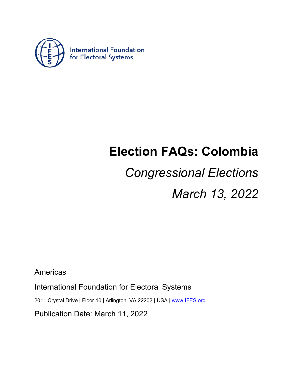

## **Election FAQs: Colombia**

# *Congressional Elections*

*March 13, 2022*

Americas

International Foundation for Electoral Systems

2011 Crystal Drive | Floor 10 | Arlington, VA 22202 | USA | www.IFES.org

Publication Date: March 11, 2022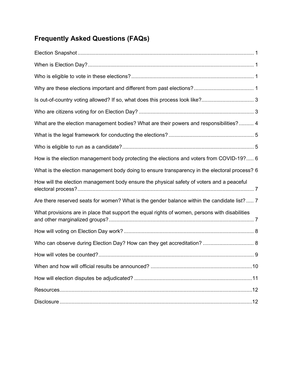### **Frequently Asked Questions (FAQs)**

| What are the election management bodies? What are their powers and responsibilities? 4         |
|------------------------------------------------------------------------------------------------|
|                                                                                                |
|                                                                                                |
| How is the election management body protecting the elections and voters from COVID-19? 6       |
| What is the election management body doing to ensure transparency in the electoral process? 6  |
| How will the election management body ensure the physical safety of voters and a peaceful      |
| Are there reserved seats for women? What is the gender balance within the candidate list?  7   |
| What provisions are in place that support the equal rights of women, persons with disabilities |
|                                                                                                |
|                                                                                                |
|                                                                                                |
|                                                                                                |
|                                                                                                |
|                                                                                                |
|                                                                                                |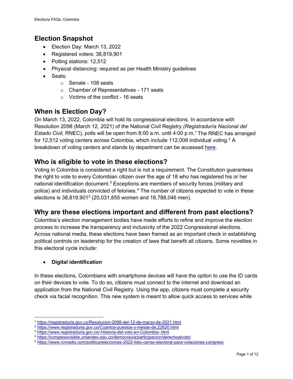#### <span id="page-2-0"></span>**Election Snapshot**

- Election Day: March 13, 2022
- Registered voters: 38,819,901
- Polling stations: 12,512
- Physical distancing: required as per Health Ministry guidelines
- Seats:
	- o Senate 108 seats
	- o Chamber of Representatives 171 seats
	- $\circ$  Victims of the conflict 16 seats

#### <span id="page-2-1"></span>**When is Election Day?**

On March 13, 2022, Colombia will hold its congressional elections. In accordance with Resolution 2098 (March 12, 2021) of the National Civil Registry *(Registraduría Nacional del Estado Civil,* RNEC), polls will be open from 8:00 a.m. until 4:00 p.m.[1](#page-2-4) The RNEC has arranged for 1[2](#page-2-5),512 voting centers across Colombia, which include 112,009 individual voting.<sup>2</sup> A breakdown of voting centers and stands by department can be accessed [here.](https://www.registraduria.gov.co/-Censo-Electoral-3661-)

#### <span id="page-2-2"></span>**Who is eligible to vote in these elections?**

Voting in Colombia is considered a right but is not a requirement. The Constitution guarantees the right to vote to every Colombian citizen over the age of 18 who has registered his or her national identification document.<sup>[3](#page-2-6)</sup> Exceptions are members of security forces (military and police) and individuals convicted of felonies.[4](#page-2-7) The number of citizens expected to vote in these elections is 38,819,901<sup>[5](#page-2-8)</sup> (20,031,855 women and 18,788,046 men).

#### <span id="page-2-3"></span>**Why are these elections important and different from past elections?**

Colombia's election management bodies have made efforts to refine and improve the election process to increase the transparency and inclusivity of the 2022 Congressional elections. Across national media, these elections have been framed as an important check in establishing political controls on leadership for the creation of laws that benefit all citizens. Some novelties in this electoral cycle include:

#### • **Digital identification**

In these elections, Colombians with smartphone devices will have the option to use the ID cards on their devices to vote. To do so, citizens must connect to the internet and download an application from the National Civil Registry. Using the app, citizens must complete a security check via facial recognition. This new system is meant to allow quick access to services while

<sup>1</sup> <https://registraduria.gov.co/Resolucion-2098-del-12-de-marzo-de-2021.html>

<span id="page-2-5"></span><span id="page-2-4"></span><sup>2</sup> <https://www.registraduria.gov.co/Cuantos-puestos-y-mesas-de,22620.html>

<span id="page-2-6"></span><sup>3</sup> <https://www.registraduria.gov.co/-Historia-del-voto-en-Colombia-.html>

<span id="page-2-7"></span><sup>4</sup> <https://congresovisible.uniandes.edu.co/democracia/participacion/derechoalvoto/>

<span id="page-2-8"></span><sup>5</sup> <https://www.rcnradio.com/politica/elecciones-2022-listo-censo-electoral-para-votaciones-congreso>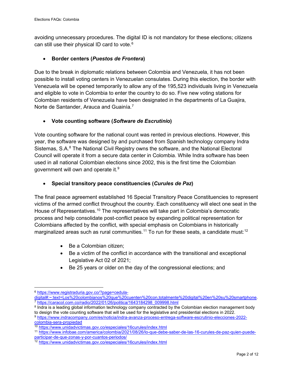avoiding unnecessary procedures. The digital ID is not mandatory for these elections; citizens can still use their physical ID card to vote.<sup>[6](#page-3-0)</sup>

#### • **Border centers (***Puestos de Frontera***)**

Due to the break in diplomatic relations between Colombia and Venezuela, it has not been possible to install voting centers in Venezuelan consulates. During this election, the border with Venezuela will be opened temporarily to allow any of the 195,523 individuals living in Venezuela and eligible to vote in Colombia to enter the country to do so. Five new voting stations for Colombian residents of Venezuela have been designated in the departments of La Guajira, Norte de Santander, Arauca and Guainía.<sup>[7](#page-3-1)</sup>

#### • **Vote counting software (***Software de Escrutinio***)**

Vote counting software for the national count was rented in previous elections. However, this year, the software was designed by and purchased from Spanish technology company Indra Sistemas, S.A.<sup>[8](#page-3-2)</sup> The National Civil Registry owns the software, and the National Electoral Council will operate it from a secure data center in Colombia. While Indra software has been used in all national Colombian elections since 2002, this is the first time the Colombian government will own and operate it.[9](#page-3-3)

#### • **Special transitory peace constituencies (***Curules de Paz***)**

The final peace agreement established 16 Special Transitory Peace Constituencies to represent victims of the armed conflict throughout the country. Each constituency will elect one seat in the House of Representatives.[10](#page-3-4) The representatives will take part in Colombia's democratic process and help consolidate post-conflict peace by expanding political representation for Colombians affected by the conflict, with special emphasis on Colombians in historically marginalized areas such as rural communities.<sup>[11](#page-3-5)</sup> To run for these seats, a candidate must:<sup>[12](#page-3-6)</sup>

- Be a Colombian citizen;
- Be a victim of the conflict in accordance with the transitional and exceptional Legislative Act 02 of 2021;
- Be 25 years or older on the day of the congressional elections; and

<span id="page-3-2"></span><span id="page-3-1"></span><sup>8</sup> Indra is a leading global information technology company contracted by the Colombian election management body to design the vote counting software that will be used for the legislative and presidential elections in 2022.

<span id="page-3-3"></span><sup>9</sup> [https://www.indracompany.com/es/noticia/indra-avanza-proceso-entrega-software-escrutinio-elecciones-2022](https://www.indracompany.com/es/noticia/indra-avanza-proceso-entrega-software-escrutinio-elecciones-2022-colombia-sera-propiedad) [colombia-sera-propiedad](https://www.indracompany.com/es/noticia/indra-avanza-proceso-entrega-software-escrutinio-elecciones-2022-colombia-sera-propiedad)

<span id="page-3-5"></span><span id="page-3-4"></span><sup>11</sup> [https://www.infobae.com/america/colombia/2021/08/26/lo-que-debe-saber-de-las-16-curules-de-paz-quien-puede](https://www.infobae.com/america/colombia/2021/08/26/lo-que-debe-saber-de-las-16-curules-de-paz-quien-puede-participar-de-que-zonas-y-por-cuantos-periodos/)[participar-de-que-zonas-y-por-cuantos-periodos/](https://www.infobae.com/america/colombia/2021/08/26/lo-que-debe-saber-de-las-16-curules-de-paz-quien-puede-participar-de-que-zonas-y-por-cuantos-periodos/)

<span id="page-3-0"></span><sup>6</sup> [https://www.registraduria.gov.co/?page=cedula-](https://www.registraduria.gov.co/?page=cedula-digital#:%7E:text=Los%20colombianos%20que%20cuenten%20con,totalmente%20digital%20en%20su%20smartphone)

[digital#:~:text=Los%20colombianos%20que%20cuenten%20con,totalmente%20digital%20en%20su%20smartphone.](https://www.registraduria.gov.co/?page=cedula-digital#:%7E:text=Los%20colombianos%20que%20cuenten%20con,totalmente%20digital%20en%20su%20smartphone) <sup>7</sup> [https://caracol.com.co/radio/2022/01/26/politica/1643184298\\_009998.html](https://caracol.com.co/radio/2022/01/26/politica/1643184298_009998.html)

<sup>10</sup> <https://www.unidadvictimas.gov.co/especiales/16curules/index.html>

<span id="page-3-6"></span><sup>12</sup> <https://www.unidadvictimas.gov.co/especiales/16curules/index.html>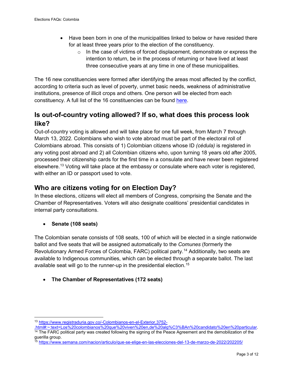- Have been born in one of the municipalities linked to below or have resided there for at least three years prior to the election of the constituency.
	- $\circ$  In the case of victims of forced displacement, demonstrate or express the intention to return, be in the process of returning or have lived at least three consecutive years at any time in one of these municipalities.

The 16 new constituencies were formed after identifying the areas most affected by the conflict, according to criteria such as level of poverty, unmet basic needs, weakness of administrative institutions, presence of illicit crops and others. One person will be elected from each constituency. A full list of the 16 constituencies can be found [here.](https://www.unidadvictimas.gov.co/especiales/16curules/index.html)

#### <span id="page-4-0"></span>**Is out-of-country voting allowed? If so, what does this process look like?**

Out-of-country voting is allowed and will take place for one full week, from March 7 through March 13, 2022. Colombians who wish to vote abroad must be part of the electoral roll of Colombians abroad. This consists of 1) Colombian citizens whose ID *(cédula)* is registered in any voting post abroad and 2) all Colombian citizens who, upon turning 18 years old after 2005, processed their citizenship cards for the first time in a consulate and have never been registered elsewhere.[13](#page-4-2) Voting will take place at the embassy or consulate where each voter is registered, with either an ID or passport used to vote.

#### <span id="page-4-1"></span>**Who are citizens voting for on Election Day?**

In these elections, citizens will elect all members of Congress, comprising the Senate and the Chamber of Representatives. Voters will also designate coalitions' presidential candidates in internal party consultations.

• **Senate (108 seats)**

The Colombian senate consists of 108 seats, 100 of which will be elected in a single nationwide ballot and five seats that will be assigned automatically to the *Comunes* (formerly the Revolutionary Armed Forces of Colombia, FARC) political party.[14](#page-4-3) Additionally, two seats are available to Indigenous communities, which can be elected through a separate ballot. The last available seat will go to the runner-up in the presidential election. [15](#page-4-4)

• **The Chamber of Representatives (172 seats)** 

<sup>13</sup> [https://www.registraduria.gov.co/-Colombianos-en-el-Exterior,3752-](https://www.registraduria.gov.co/-Colombianos-en-el-Exterior,3752-.html#:%7E:text=Los%20colombianos%20que%20viven%20en,de%20alg%C3%BAn%20candidato%20en%20particular)

<span id="page-4-3"></span><span id="page-4-2"></span>[<sup>.</sup>html#:~:text=Los%20colombianos%20que%20viven%20en,de%20alg%C3%BAn%20candidato%20en%20particular.](https://www.registraduria.gov.co/-Colombianos-en-el-Exterior,3752-.html#:%7E:text=Los%20colombianos%20que%20viven%20en,de%20alg%C3%BAn%20candidato%20en%20particular) 14 The FARC political party was created following the signing of the Peace Agreement and the demobilization of the guerilla group.

<span id="page-4-4"></span><sup>15</sup> <https://www.semana.com/nacion/articulo/que-se-elige-en-las-elecciones-del-13-de-marzo-de-2022/202205/>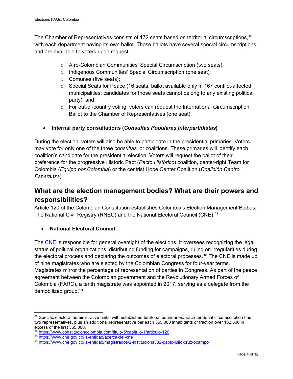The Chamber of Representatives consists of 172 seats based on territorial circumscriptions,  $^{16}$  $^{16}$  $^{16}$ with each department having its own ballot. Those ballots have several special circumscriptions and are available to voters upon request:

- o Afro-Colombian Communities' Special Circumscription (two seats);
- o Indigenous Communities' Special Circumscription (one seat);
- o Comunes (five seats);
- $\circ$  Special Seats for Peace (16 seats, ballot available only in 167 conflict-affected municipalities; candidates for those seats cannot belong to any existing political party); and
- $\circ$  For out-of-country voting, voters can request the International Circumscription Ballot to the Chamber of Representatives (one seat).

#### • **Internal party consultations (***Consultas Populares Interpartidistas***)**

During the election, voters will also be able to participate in the presidential primaries. Voters may vote for only one of the three *consultas,* or coalitions. These primaries will identify each coalition's candidate for the presidential election. Voters will request the ballot of their preference for the progressive Historic Pact (*Pacto Histórico*) coalition, center-right Team for Colombia (*Equipo por Colombia*) or the centrist Hope Center Coalition (*Coalición Centro Esperanza*).

#### <span id="page-5-0"></span>**What are the election management bodies? What are their powers and responsibilities?**

Article 120 of the Colombian Constitution establishes Colombia's Election Management Bodies: The National Civil Registry (RNEC) and the National Electoral Council (CNE).[17](#page-5-2)

#### • **National Electoral Council**

The [CNE](https://www.cne.gov.co/) is responsible for general oversight of the elections. It oversees recognizing the legal status of political organizations, distributing funding for campaigns, ruling on irregularities during the electoral process and declaring the outcomes of electoral processes.<sup>[18](#page-5-3)</sup> The CNE is made up of nine magistrates who are elected by the Colombian Congress for four-year terms. Magistrates mirror the percentage of representation of parties in Congress. As part of the peace agreement between the Colombian government and the Revolutionary Armed Forces of Colombia (FARC), a tenth magistrate was appointed in 2017, serving as a delegate from the demobilized group[.19](#page-5-4)

<span id="page-5-1"></span> $16$  Specific electoral administrative units, with established territorial boundaries. Each territorial circumscription has two representatives, plus an additional representative per each 365,000 inhabitants or fraction over 182,500 in excess of the first 365,000.

<span id="page-5-2"></span><sup>17</sup> <https://www.constitucioncolombia.com/titulo-5/capitulo-1/articulo-120>

<span id="page-5-3"></span><sup>18</sup> <https://www.cne.gov.co/la-entidad/acerca-del-cne>

<span id="page-5-4"></span><sup>19</sup> <https://www.cne.gov.co/la-entidad/magistrados/2-institucional/82-pablo-julio-cruz-ocampo>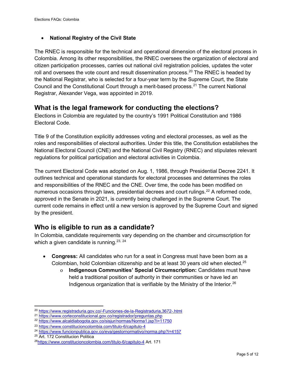#### • **National Registry of the Civil State**

The [RNEC](https://www.registraduria.gov.co/) is responsible for the technical and operational dimension of the electoral process in Colombia. Among its other responsibilities, the RNEC oversees the organization of electoral and citizen participation processes, carries out national civil registration policies, updates the voter roll and oversees the vote count and result dissemination process.<sup>[20](#page-6-2)</sup> The RNEC is headed by the National Registrar, who is selected for a four-year term by the Supreme Court, the State Council and the Constitutional Court through a merit-based process.[21](#page-6-3) The current National Registrar, Alexander Vega, was appointed in 2019.

#### <span id="page-6-0"></span>**What is the legal framework for conducting the elections?**

Elections in Colombia are regulated by the country's 1991 Political Constitution and 1986 Electoral Code.

Title 9 of the Constitution explicitly addresses voting and electoral processes, as well as the roles and responsibilities of electoral authorities. Under this title, the Constitution establishes the National Electoral Council (CNE) and the National Civil Registry (RNEC) and stipulates relevant regulations for political participation and electoral activities in Colombia.

The current Electoral Code was adopted on Aug. 1, 1986, through Presidential Decree 2241. It outlines technical and operational standards for electoral processes and determines the roles and responsibilities of the RNEC and the CNE. Over time, the code has been modified on numerous occasions through laws, presidential decrees and court rulings.<sup>[22](#page-6-4)</sup> A reformed code, approved in the Senate in 2021, is currently being challenged in the Supreme Court. The current code remains in effect until a new version is approved by the Supreme Court and signed by the president.

#### <span id="page-6-1"></span>**Who is eligible to run as a candidate?**

In Colombia, candidate requirements vary depending on the chamber and circumscription for which a given candidate is running.  $23, 24$  $23, 24$  $23, 24$ 

- **Congress:** All candidates who run for a seat in Congress must have been born as a Colombian, hold Colombian citizenship and be at least 30 years old when elected.[25](#page-6-7)
	- o **Indigenous Communities' Special Circumscription:** Candidates must have held a traditional position of authority in their communities or have led an Indigenous organization that is verifiable by the Ministry of the Interior. $^{26}$  $^{26}$  $^{26}$

<span id="page-6-2"></span><sup>20</sup> <https://www.registraduria.gov.co/-Funciones-de-la-Registraduria,3672-.html>

<span id="page-6-3"></span><sup>21</sup> <https://www.corteconstitucional.gov.co/registrador/preguntas.php>

<span id="page-6-4"></span><sup>22</sup> <https://www.alcaldiabogota.gov.co/sisjur/normas/Norma1.jsp?i=11750>

<span id="page-6-5"></span><sup>23</sup> <https://www.constitucioncolombia.com/titulo-6/capitulo-4>

<span id="page-6-6"></span><sup>24</sup> <https://www.funcionpublica.gov.co/eva/gestornormativo/norma.php?i=4157>

<span id="page-6-7"></span><sup>&</sup>lt;sup>25</sup> Art. 172 Constitucion Politica

<span id="page-6-8"></span><sup>2</sup>[6https://www.constitucioncolombia.com/titulo-6/capitulo-4](https://www.constitucioncolombia.com/titulo-6/capitulo-4) Art. 171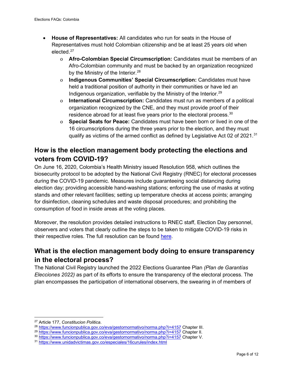- **House of Representatives:** All candidates who run for seats in the House of Representatives must hold Colombian citizenship and be at least 25 years old when elected.[27](#page-7-2)
	- o **Afro-Colombian Special Circumscription:** Candidates must be members of an Afro-Colombian community and must be backed by an organization recognized by the Ministry of the Interior.  $28$
	- o **Indigenous Communities' Special Circumscription:** Candidates must have held a traditional position of authority in their communities or have led an Indigenous organization, verifiable by the Ministry of the Interior.<sup>[29](#page-7-4)</sup>
	- o **International Circumscription:** Candidates must run as members of a political organization recognized by the CNE, and they must provide proof of their residence abroad for at least five years prior to the electoral process. $^{\rm 30}$  $^{\rm 30}$  $^{\rm 30}$
	- o **Special Seats for Peace:** Candidates must have been born or lived in one of the 16 circumscriptions during the three years prior to the election, and they must qualify as victims of the armed conflict as defined by Legislative Act 02 of 2021. $31$

#### <span id="page-7-0"></span>**How is the election management body protecting the elections and voters from COVID-19?**

On June 16, 2020, Colombia's Health Ministry issued Resolution 958, which outlines the biosecurity protocol to be adopted by the National Civil Registry (RNEC) for electoral processes during the COVID-19 pandemic. Measures include guaranteeing social distancing during election day; providing accessible hand-washing stations; enforcing the use of masks at voting stands and other relevant facilities; setting up temperature checks at access points; arranging for disinfection, cleaning schedules and waste disposal procedures; and prohibiting the consumption of food in inside areas at the voting places.

Moreover, the resolution provides detailed instructions to RNEC staff, Election Day personnel, observers and voters that clearly outline the steps to be taken to mitigate COVID-19 risks in their respective roles. The full resolution can be found [here.](https://www.minsalud.gov.co/Normatividad_Nuevo/Resoluci%C3%B3n%20No.%20958%20de%202020.pdf)

#### <span id="page-7-1"></span>**What is the election management body doing to ensure transparency in the electoral process?**

The National Civil Registry launched the 2022 Elections Guarantee Plan *(Plan de Garantías Elecciones 2022)* as part of its efforts to ensure the transparency of the electoral process. The plan encompasses the participation of international observers, the swearing in of members of

<span id="page-7-2"></span><sup>27</sup> Article 177, *Constitucion Politica.*

<span id="page-7-3"></span><sup>28</sup> <https://www.funcionpublica.gov.co/eva/gestornormativo/norma.php?i=4157> Chapter III.

<span id="page-7-4"></span><sup>&</sup>lt;sup>29</sup> <https://www.funcionpublica.gov.co/eva/gestornormativo/norma.php?i=4157> Chapter II.

<span id="page-7-5"></span><sup>30</sup> <https://www.funcionpublica.gov.co/eva/gestornormativo/norma.php?i=4157> Chapter V.

<span id="page-7-6"></span><sup>31</sup> <https://www.unidadvictimas.gov.co/especiales/16curules/index.html>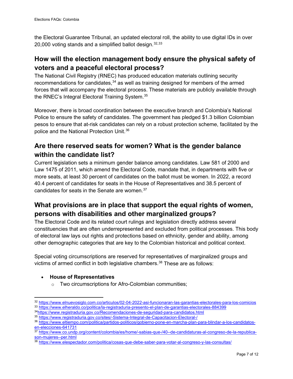the Electoral Guarantee Tribunal, an updated electoral roll, the ability to use digital IDs in over 20,000 voting stands and a simplified ballot design.  $32,33$  $32,33$  $32,33$ 

#### <span id="page-8-0"></span>**How will the election management body ensure the physical safety of voters and a peaceful electoral process?**

The National Civil Registry (RNEC) has produced education materials outlining security recommendations for candidates,  $34$  as well as training designed for members of the armed forces that will accompany the electoral process. These materials are publicly available through the RNEC's Integral Electoral Training System.[35](#page-8-6)

Moreover, there is broad coordination between the executive branch and Colombia's National Police to ensure the safety of candidates. The government has pledged \$1.3 billion Colombian pesos to ensure that at-risk candidates can rely on a robust protection scheme, facilitated by the police and the National Protection Unit.[36](#page-8-7)

#### <span id="page-8-1"></span>**Are there reserved seats for women? What is the gender balance within the candidate list?**

Current legislation sets a minimum gender balance among candidates. Law 581 of 2000 and Law 1475 of 2011, which amend the Electoral Code, mandate that, in departments with five or more seats, at least 30 percent of candidates on the ballot must be women. In 2022, a record 40.4 percent of candidates for seats in the House of Representatives and 38.5 percent of candidates for seats in the Senate are women.[37](#page-8-8)

#### <span id="page-8-2"></span>**What provisions are in place that support the equal rights of women, persons with disabilities and other marginalized groups?**

The Electoral Code and its related court rulings and legislation directly address several constituencies that are often underrepresented and excluded from political processes. This body of electoral law lays out rights and protections based on ethnicity, gender and ability, among other demographic categories that are key to the Colombian historical and political context.

Special voting circumscriptions are reserved for representatives of marginalized groups and victims of armed conflict in both legislative chambers.<sup>[38](#page-8-9)</sup> These are as follows:

• **House of Representatives**

o Two circumscriptions for Afro-Colombian communities;

<span id="page-8-4"></span><span id="page-8-3"></span><sup>32</sup> <https://www.elnuevosiglo.com.co/articulos/02-04-2022-asi-funcionaran-las-garantias-electorales-para-los-comicios> <sup>33</sup> <https://www.elheraldo.co/politica/la-registraduria-presento-el-plan-de-garantias-electorales-884399>

<span id="page-8-5"></span><sup>3</sup>[4https://www.registraduria.gov.co/Recomendaciones-de-seguridad-para-candidatos.html](https://www.registraduria.gov.co/Recomendaciones-de-seguridad-para-candidatos.html)

<span id="page-8-6"></span><sup>35</sup> <https://www.registraduria.gov.co/sites/-Sistema-Integral-de-Capacitacion-Electoral-/>

<span id="page-8-7"></span><sup>36</sup> [https://www.eltiempo.com/politica/partidos-politicos/gobierno-pone-en-marcha-plan-para-blindar-a-los-candidatos](https://www.eltiempo.com/politica/partidos-politicos/gobierno-pone-en-marcha-plan-para-blindar-a-los-candidatos-en-elecciones-641731)[en-elecciones-641731](https://www.eltiempo.com/politica/partidos-politicos/gobierno-pone-en-marcha-plan-para-blindar-a-los-candidatos-en-elecciones-641731)

<span id="page-8-8"></span><sup>37</sup> [https://www.co.undp.org/content/colombia/es/home/-sabias-que-/40--de-candidaturas-al-congreso-de-la-republica](https://www.co.undp.org/content/colombia/es/home/-sabias-que-/40--de-candidaturas-al-congreso-de-la-republica-son-mujeres--per.html)[son-mujeres--per.html](https://www.co.undp.org/content/colombia/es/home/-sabias-que-/40--de-candidaturas-al-congreso-de-la-republica-son-mujeres--per.html)

<span id="page-8-9"></span><sup>38</sup> <https://www.elespectador.com/politica/cosas-que-debe-saber-para-votar-al-congreso-y-las-consultas/>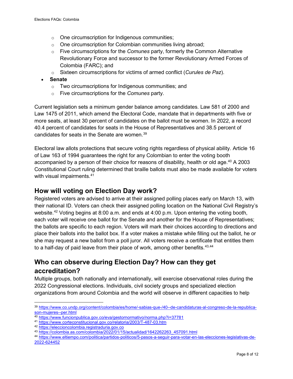- o One circumscription for Indigenous communities;
- o One circumscription for Colombian communities living abroad;
- o Five circumscriptions for the *Comunes* party, formerly the Common Alternative Revolutionary Force and successor to the former Revolutionary Armed Forces of Colombia (FARC); and
- o Sixteen circumscriptions for victims of armed conflict (*Curules de Paz*).
- **Senate**
	- o Two circumscriptions for Indigenous communities; and
	- o Five circumscriptions for the *Comunes* party.

Current legislation sets a minimum gender balance among candidates. Law 581 of 2000 and Law 1475 of 2011, which amend the Electoral Code, mandate that in departments with five or more seats, at least 30 percent of candidates on the ballot must be women. In 2022, a record 40.4 percent of candidates for seats in the House of Representatives and 38.5 percent of candidates for seats in the Senate are women.<sup>[39](#page-9-2)</sup>

Electoral law allots protections that secure voting rights regardless of physical ability. Article 16 of Law 163 of 1994 guarantees the right for any Colombian to enter the voting booth accompanied by a person of their choice for reasons of disability, health or old age.<sup>[40](#page-9-3)</sup> A 2003 Constitutional Court ruling determined that braille ballots must also be made available for voters with visual impairments. [41](#page-9-4)

#### <span id="page-9-0"></span>**How will voting on Election Day work?**

Registered voters are advised to arrive at their assigned polling places early on March 13, with their national ID. Voters can check their assigned polling location on the National Civil Registry's website.<sup>[42](#page-9-5)</sup> Voting begins at 8:00 a.m. and ends at 4:00 p.m. Upon entering the voting booth, each voter will receive one ballot for the Senate and another for the House of Representatives; the ballots are specific to each region. Voters will mark their choices according to directions and place their ballots into the ballot box. If a voter makes a mistake while filling out the ballot, he or she may request a new ballot from a poll juror. All voters receive a certificate that entitles them to a half-day of paid leave from their place of work, among other benefits.  $43,44$  $43,44$ 

#### <span id="page-9-1"></span>**Who can observe during Election Day? How can they get accreditation?**

Multiple groups, both nationally and internationally, will exercise observational roles during the 2022 Congressional elections. Individuals, civil society groups and specialized election organizations from around Colombia and the world will observe in different capacities to help

<span id="page-9-2"></span><sup>39</sup> [https://www.co.undp.org/content/colombia/es/home/-sabias-que-/40--de-candidaturas-al-congreso-de-la-republica](https://www.co.undp.org/content/colombia/es/home/-sabias-que-/40--de-candidaturas-al-congreso-de-la-republica-son-mujeres--per.html)[son-mujeres--per.html](https://www.co.undp.org/content/colombia/es/home/-sabias-que-/40--de-candidaturas-al-congreso-de-la-republica-son-mujeres--per.html)

<span id="page-9-3"></span><sup>40</sup> <https://www.funcionpublica.gov.co/eva/gestornormativo/norma.php?i=37781>

<span id="page-9-4"></span><sup>41</sup> <https://www.corteconstitucional.gov.co/relatoria/2003/T-487-03.htm>

<span id="page-9-5"></span><sup>42</sup> [https://eleccioncolombia.registraduria.gov.co](https://eleccioncolombia.registraduria.gov.co/)

<sup>43</sup> [https://colombia.as.com/colombia/2022/01/15/actualidad/1642262263\\_457091.html](https://colombia.as.com/colombia/2022/01/15/actualidad/1642262263_457091.html)

<span id="page-9-7"></span><span id="page-9-6"></span><sup>44</sup> [https://www.eltiempo.com/politica/partidos-politicos/5-pasos-a-seguir-para-votar-en-las-elecciones-legislativas-de-](https://www.eltiempo.com/politica/partidos-politicos/5-pasos-a-seguir-para-votar-en-las-elecciones-legislativas-de-2022-624452)[2022-624452](https://www.eltiempo.com/politica/partidos-politicos/5-pasos-a-seguir-para-votar-en-las-elecciones-legislativas-de-2022-624452)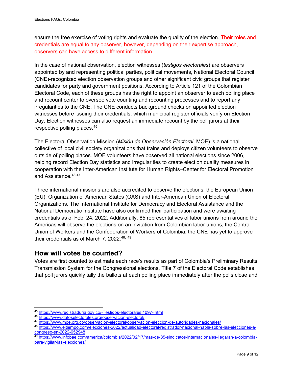ensure the free exercise of voting rights and evaluate the quality of the election. Their roles and credentials are equal to any observer, however, depending on their expertise approach, observers can have access to different information.

In the case of national observation, election witnesses (*testigos electorales*) are observers appointed by and representing political parties, political movements, National Electoral Council (CNE)-recognized election observation groups and other significant civic groups that register candidates for party and government positions. According to Article 121 of the Colombian Electoral Code, each of these groups has the right to appoint an observer to each polling place and recount center to oversee vote counting and recounting processes and to report any irregularities to the CNE. The CNE conducts background checks on appointed election witnesses before issuing their credentials, which municipal register officials verify on Election Day. Election witnesses can also request an immediate recount by the poll jurors at their respective polling places. [45](#page-10-1)

The Electoral Observation Mission (*Misión de Observación Electoral*, MOE) is a national collective of local civil society organizations that trains and deploys citizen volunteers to observe outside of polling places. MOE volunteers have observed all national elections since 2006, helping record Election Day statistics and irregularities to create election quality measures in cooperation with the Inter-American Institute for Human Rights–Center for Electoral Promotion and Assistance. [46,](#page-10-2)[47](#page-10-3)

Three international missions are also accredited to observe the elections: the European Union (EU), Organization of American States (OAS) and Inter-American Union of Electoral Organizations. The International Institute for Democracy and Electoral Assistance and the National Democratic Institute have also confirmed their participation and were awaiting credentials as of Feb. 24, 2022. Additionally, 85 representatives of labor unions from around the Americas will observe the elections on an invitation from Colombian labor unions, the Central Union of Workers and the Confederation of Workers of Colombia; the CNE has yet to approve their credentials as of March 7, 2022. [48](#page-10-4), [49](#page-10-5)

#### <span id="page-10-0"></span>**How will votes be counted?**

Votes are first counted to estimate each race's results as part of Colombia's Preliminary Results Transmission System for the Congressional elections. Title 7 of the Electoral Code establishes that poll jurors quickly tally the ballots at each polling place immediately after the polls close and

<span id="page-10-1"></span><sup>45</sup> <https://www.registraduria.gov.co/-Testigos-electorales,1097-.html>

<span id="page-10-2"></span><sup>46</sup> <https://www.datoselectorales.org/observacion-electoral/>

<span id="page-10-3"></span><sup>47</sup> <https://www.moe.org.co/observacion-electoral/observacion-eleccion-de-autoridades-nacionales/>

<span id="page-10-4"></span><sup>48</sup> [https://www.eltiempo.com/elecciones-2022/actualidad-electoral/registrador-nacional-habla-sobre-las-elecciones-a](https://www.eltiempo.com/elecciones-2022/actualidad-electoral/registrador-nacional-habla-sobre-las-elecciones-a-congreso-en-2022-652948)[congreso-en-2022-652948](https://www.eltiempo.com/elecciones-2022/actualidad-electoral/registrador-nacional-habla-sobre-las-elecciones-a-congreso-en-2022-652948)

<span id="page-10-5"></span><sup>49</sup> [https://www.infobae.com/america/colombia/2022/02/17/mas-de-85-sindicatos-internacionales-llegaran-a-colombia](https://www.infobae.com/america/colombia/2022/02/17/mas-de-85-sindicatos-internacionales-llegaran-a-colombia-para-vigilar-las-elecciones/)[para-vigilar-las-elecciones/](https://www.infobae.com/america/colombia/2022/02/17/mas-de-85-sindicatos-internacionales-llegaran-a-colombia-para-vigilar-las-elecciones/)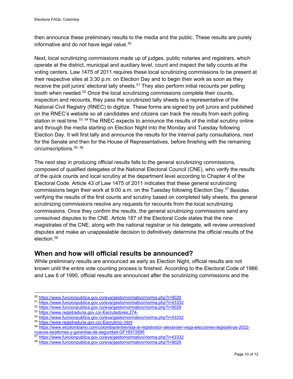then announce these preliminary results to the media and the public. These results are purely informative and do not have legal value.<sup>[50](#page-11-1)</sup>

Next, local scrutinizing commissions made up of judges, public notaries and registrars, which operate at the district, municipal and auxiliary level, count and inspect the tally counts at the voting centers. Law 1475 of 2011 requires these local scrutinizing commissions to be present at their respective sites at 3:30 p.m. on Election Day and to begin their work as soon as they receive the poll jurors' electoral tally sheets.<sup>[51](#page-11-2)</sup> They also perform initial recounts per polling booth when needed.[52](#page-11-3) Once the local scrutinizing commissions complete their counts, inspection and recounts, they pass the scrutinized tally sheets to a representative of the National Civil Registry (RNEC) to digitize. These forms are signed by poll jurors and published on the RNEC's website so all candidates and citizens can track the results from each polling station in real time.<sup>[53,](#page-11-4) [54](#page-11-5)</sup> The RNEC expects to announce the results of the initial scrutiny online and through the media starting on Election Night into the Monday and Tuesday following Election Day. It will first tally and announce the results for the internal party consultations, next for the Senate and then for the House of Representatives, before finishing with the remaining circumscriptions.<sup>55, [56](#page-11-7)</sup>

The next step in producing official results falls to the general scrutinizing commissions, composed of qualified delegates of the National Electoral Council (CNE), who verify the results of the quick counts and local scrutiny at the department level according to Chapter 4 of the Electoral Code. Article 43 of Law 1475 of 2011 indicates that these general scrutinizing commissions begin their work at 9:00 a.m. on the Tuesday following Election Day.[57](#page-11-8) Besides verifying the results of the first counts and scrutiny based on completed tally sheets, the general scrutinizing commissions resolve any requests for recounts from the local scrutinizing commissions. Once they confirm the results, the general scrutinizing commissions send any unresolved disputes to the CNE. Article 187 of the Electoral Code states that the nine magistrates of the CNE, along with the national registrar or his delegate, will review unresolved disputes and make an unappealable decision to definitively determine the official results of the election.[58](#page-11-9)

#### <span id="page-11-0"></span>**When and how will official results be announced?**

While preliminary results are announced as early as Election Night, official results are not known until the entire vote counting process is finished. According to the Electoral Code of 1986 and Law 6 of 1990, official results are announced after the scrutinizing commissions and the

<span id="page-11-7"></span><sup>56</sup> [https://www.elcolombiano.com/colombia/entrevista-al-registrador-alexander-vega-elecciones-legislativas-2022](https://www.elcolombiano.com/colombia/entrevista-al-registrador-alexander-vega-elecciones-legislativas-2022-nuevos-tarjetones-y-garantias-de-seguridad-GF16572895) [nuevos-tarjetones-y-garantias-de-seguridad-GF16572895](https://www.elcolombiano.com/colombia/entrevista-al-registrador-alexander-vega-elecciones-legislativas-2022-nuevos-tarjetones-y-garantias-de-seguridad-GF16572895)

<span id="page-11-1"></span><sup>50</sup> <https://www.funcionpublica.gov.co/eva/gestornormativo/norma.php?i=9029>

<span id="page-11-2"></span><sup>51</sup> <https://www.funcionpublica.gov.co/eva/gestornormativo/norma.php?i=43332>

<span id="page-11-3"></span><sup>52</sup> <https://www.funcionpublica.gov.co/eva/gestornormativo/norma.php?i=9029>

<span id="page-11-4"></span><sup>53</sup> <https://www.registraduria.gov.co/-Escrutadores,274->

<span id="page-11-5"></span><sup>54</sup> <https://www.funcionpublica.gov.co/eva/gestornormativo/norma.php?i=43332>

<span id="page-11-6"></span><sup>55</sup> <https://www.registraduria.gov.co/-Escrutinio-.html>

<span id="page-11-8"></span><sup>57</sup> <https://www.funcionpublica.gov.co/eva/gestornormativo/norma.php?i=43332>

<span id="page-11-9"></span><sup>58</sup> <https://www.funcionpublica.gov.co/eva/gestornormativo/norma.php?i=9029>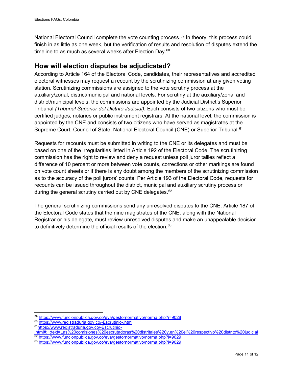National Electoral Council complete the vote counting process.<sup>[59](#page-12-1)</sup> In theory, this process could finish in as little as one week, but the verification of results and resolution of disputes extend the timeline to as much as several weeks after Election Day.<sup>[60](#page-12-2)</sup>

#### <span id="page-12-0"></span>**How will election disputes be adjudicated?**

According to Article 164 of the Electoral Code, candidates, their representatives and accredited electoral witnesses may request a recount by the scrutinizing commission at any given voting station. Scrutinizing commissions are assigned to the vote scrutiny process at the auxiliary/zonal, district/municipal and national levels. For scrutiny at the auxiliary/zonal and district/municipal levels, the commissions are appointed by the Judicial District's Superior Tribunal *(Tribunal Superior del Distrito Judicial).* Each consists of two citizens who must be certified judges, notaries or public instrument registrars. At the national level, the commission is appointed by the CNE and consists of two citizens who have served as magistrates at the Supreme Court, Council of State, National Electoral Council (CNE) or Superior Tribunal.<sup>[61](#page-12-3)</sup>

Requests for recounts must be submitted in writing to the CNE or its delegates and must be based on one of the irregularities listed in Article 192 of the Electoral Code. The scrutinizing commission has the right to review and deny a request unless poll juror tallies reflect a difference of 10 percent or more between vote counts, corrections or other markings are found on vote count sheets or if there is any doubt among the members of the scrutinizing commission as to the accuracy of the poll jurors' counts. Per Article 193 of the Electoral Code, requests for recounts can be issued throughout the district, municipal and auxiliary scrutiny process or during the general scrutiny carried out by CNE delegates.<sup>[62](#page-12-4)</sup>

The general scrutinizing commissions send any unresolved disputes to the CNE. Article 187 of the Electoral Code states that the nine magistrates of the CNE, along with the National Registrar or his delegate, must review unresolved disputes and make an unappealable decision to definitively determine the official results of the election.<sup>[63](#page-12-5)</sup>

<span id="page-12-1"></span><sup>59</sup> <https://www.funcionpublica.gov.co/eva/gestornormativo/norma.php?i=9028>

<span id="page-12-2"></span><sup>60</sup> <https://www.registraduria.gov.co/-Escrutinio-.html>

<span id="page-12-3"></span><sup>6</sup>[1https://www.registraduria.gov.co/-Escrutinio-](https://www.registraduria.gov.co/-Escrutinio-.html#:%7E:text=Las%20comisiones%20escrutadoras%20distritales%20y,en%20el%20respectivo%20distrito%20judicial)

[<sup>.</sup>html#:~:text=Las%20comisiones%20escrutadoras%20distritales%20y,en%20el%20respectivo%20distrito%20judicial](https://www.registraduria.gov.co/-Escrutinio-.html#:%7E:text=Las%20comisiones%20escrutadoras%20distritales%20y,en%20el%20respectivo%20distrito%20judicial) 62 <https://www.funcionpublica.gov.co/eva/gestornormativo/norma.php?i=9029>

<span id="page-12-5"></span><span id="page-12-4"></span><sup>63</sup> <https://www.funcionpublica.gov.co/eva/gestornormativo/norma.php?i=9029>